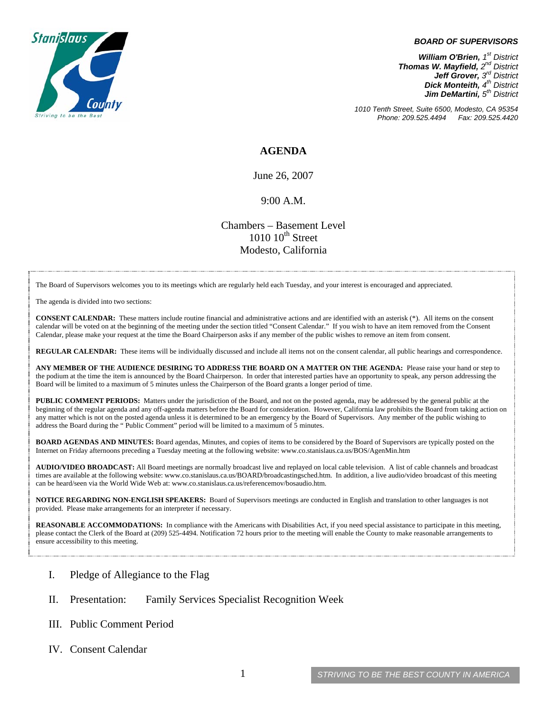

#### *BOARD OF SUPERVISORS*

*William O'Brien, 1st District Thomas W. Mayfield, 2nd District Jeff Grover, 3rd District Dick Monteith, 4th District Jim DeMartini,*  $5<sup>th</sup>$  District

*1010 Tenth Street, Suite 6500, Modesto, CA 95354 Phone: 209.525.4494 Fax: 209.525.4420* 

### **AGENDA**

June 26, 2007

### 9:00 A.M.

Chambers – Basement Level  $1010~10<sup>th</sup>$  Street Modesto, California

The Board of Supervisors welcomes you to its meetings which are regularly held each Tuesday, and your interest is encouraged and appreciated.

The agenda is divided into two sections:

**CONSENT CALENDAR:** These matters include routine financial and administrative actions and are identified with an asterisk (\*). All items on the consent calendar will be voted on at the beginning of the meeting under the section titled "Consent Calendar." If you wish to have an item removed from the Consent Calendar, please make your request at the time the Board Chairperson asks if any member of the public wishes to remove an item from consent.

**REGULAR CALENDAR:** These items will be individually discussed and include all items not on the consent calendar, all public hearings and correspondence.

**ANY MEMBER OF THE AUDIENCE DESIRING TO ADDRESS THE BOARD ON A MATTER ON THE AGENDA:** Please raise your hand or step to the podium at the time the item is announced by the Board Chairperson. In order that interested parties have an opportunity to speak, any person addressing the Board will be limited to a maximum of 5 minutes unless the Chairperson of the Board grants a longer period of time.

**PUBLIC COMMENT PERIODS:** Matters under the jurisdiction of the Board, and not on the posted agenda, may be addressed by the general public at the beginning of the regular agenda and any off-agenda matters before the Board for consideration. However, California law prohibits the Board from taking action on any matter which is not on the posted agenda unless it is determined to be an emergency by the Board of Supervisors. Any member of the public wishing to address the Board during the " Public Comment" period will be limited to a maximum of 5 minutes.

**BOARD AGENDAS AND MINUTES:** Board agendas, Minutes, and copies of items to be considered by the Board of Supervisors are typically posted on the Internet on Friday afternoons preceding a Tuesday meeting at the following website: [www.co.stanislaus.ca.us/BOS/AgenMin.htm](http://www.co.stanislaus.ca.us/BOS/AgenMin.htm) 

**AUDIO/VIDEO BROADCAST:** All Board meetings are normally broadcast live and replayed on local cable television. A list of cable channels and broadcast times are available at the following website: [www.co.stanislaus.ca.us/BOARD/broadcastingsched.htm](http://www.co.stanislaus.ca.us/BOARD/broadcastingsched.htm). In addition, a live audio/video broadcast of this meeting can be heard/seen via the World Wide Web at: [www.co.stanislaus.ca.us/referencemov/bosaudio.htm.](http://www.co.stanislaus.ca.us/referencemov/bosaudio.htm)

**NOTICE REGARDING NON-ENGLISH SPEAKERS:** Board of Supervisors meetings are conducted in English and translation to other languages is not provided. Please make arrangements for an interpreter if necessary.

**REASONABLE ACCOMMODATIONS:** In compliance with the Americans with Disabilities Act, if you need special assistance to participate in this meeting, please contact the Clerk of the Board at (209) 525-4494. Notification 72 hours prior to the meeting will enable the County to make reasonable arrangements to ensure accessibility to this meeting.

- I. Pledge of Allegiance to the Flag
- II. Presentation: Family Services Specialist Recognition Week
- III. Public Comment Period
- IV. Consent Calendar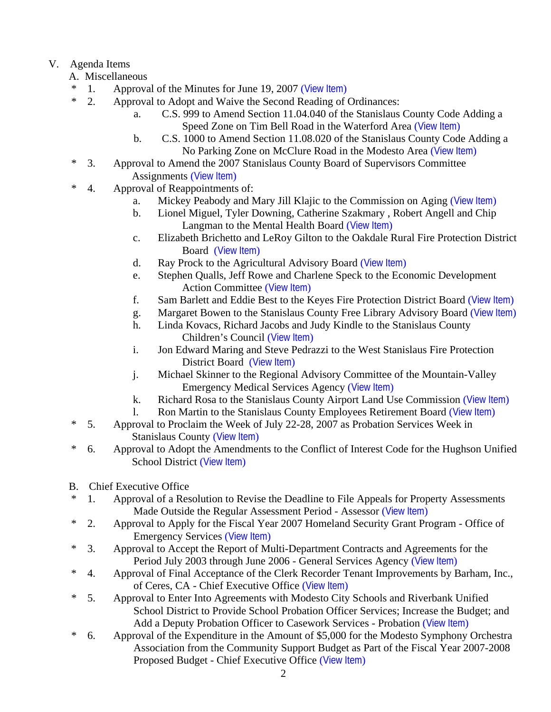# V. Agenda Items

- A. Miscellaneous
- \* 1. Approval of the Minutes for June 19, 2007 ([View Item](http://www.co.stanislaus.ca.us/bos/minutes/2007/min06-19-07.pdf))
- \* 2. Approval to Adopt and Waive the Second Reading of Ordinances:
	- a. C.S. 999 to Amend Section 11.04.040 of the Stanislaus County Code Adding a Speed Zone on Tim Bell Road in the Waterford Area ([View Item](http://www.co.stanislaus.ca.us/bos/agenda/2007/20070626/A02a.pdf))
	- b. C.S. 1000 to Amend Section 11.08.020 of the Stanislaus County Code Adding a No Parking Zone on McClure Road in the Modesto Area ([View Item](http://www.co.stanislaus.ca.us/bos/agenda/2007/20070626/A02b.pdf))
- \* 3. Approval to Amend the 2007 Stanislaus County Board of Supervisors Committee Assignments ([View Item](http://www.co.stanislaus.ca.us/bos/agenda/2007/20070626/A03.pdf))
- \* 4. Approval of Reappointments of:
	- a. Mickey Peabody and Mary Jill Klajic to the Commission on Aging ([View Item](http://www.co.stanislaus.ca.us/bos/agenda/2007/20070626/A04a.pdf))
	- b. Lionel Miguel, Tyler Downing, Catherine Szakmary , Robert Angell and Chip Langman to the Mental Health Board ([View Item](http://www.co.stanislaus.ca.us/bos/agenda/2007/20070626/A04b.pdf))
	- c. Elizabeth Brichetto and LeRoy Gilton to the Oakdale Rural Fire Protection District Board ([View Item](http://www.co.stanislaus.ca.us/bos/agenda/2007/20070626/A04c.pdf))
	- d. Ray Prock to the Agricultural Advisory Board ([View Item](http://www.co.stanislaus.ca.us/bos/agenda/2007/20070626/A04d.pdf))
	- e. Stephen Qualls, Jeff Rowe and Charlene Speck to the Economic Development Action Committee ([View Item](http://www.co.stanislaus.ca.us/bos/agenda/2007/20070626/A04e.pdf))
	- f. Sam Barlett and Eddie Best to the Keyes Fire Protection District Board ([View Item](http://www.co.stanislaus.ca.us/bos/agenda/2007/20070626/A04f.pdf))
	- g. Margaret Bowen to the Stanislaus County Free Library Advisory Board ([View Item](http://www.co.stanislaus.ca.us/bos/agenda/2007/20070626/A04g.pdf))
	- h. Linda Kovacs, Richard Jacobs and Judy Kindle to the Stanislaus County Children's Council ([View Item](http://www.co.stanislaus.ca.us/bos/agenda/2007/20070626/A04h.pdf))
	- i. Jon Edward Maring and Steve Pedrazzi to the West Stanislaus Fire Protection District Board ([View Item](http://www.co.stanislaus.ca.us/bos/agenda/2007/20070626/A04i.pdf))
	- j. Michael Skinner to the Regional Advisory Committee of the Mountain-Valley Emergency Medical Services Agency ([View Item](http://www.co.stanislaus.ca.us/bos/agenda/2007/20070626/A04j.pdf))
	- k. Richard Rosa to the Stanislaus County Airport Land Use Commission ([View Item](http://www.co.stanislaus.ca.us/bos/agenda/2007/20070626/A04k.pdf))
	- l. Ron Martin to the Stanislaus County Employees Retirement Board ([View Item](http://www.co.stanislaus.ca.us/bos/agenda/2007/20070626/A04l.pdf))
- \* 5. Approval to Proclaim the Week of July 22-28, 2007 as Probation Services Week in Stanislaus County ([View Item](http://www.co.stanislaus.ca.us/bos/agenda/2007/20070626/A05.pdf))
- \* 6. Approval to Adopt the Amendments to the Conflict of Interest Code for the Hughson Unified School District ([View Item](http://www.co.stanislaus.ca.us/bos/agenda/2007/20070626/A06.pdf))
- B. Chief Executive Office
- \* 1. Approval of a Resolution to Revise the Deadline to File Appeals for Property Assessments Made Outside the Regular Assessment Period - Assessor ([View Item](http://www.co.stanislaus.ca.us/bos/agenda/2007/20070626/B01.pdf))
- \* 2. Approval to Apply for the Fiscal Year 2007 Homeland Security Grant Program Office of Emergency Services ([View Item](http://www.co.stanislaus.ca.us/bos/agenda/2007/20070626/B02.pdf))
- \* 3. Approval to Accept the Report of Multi-Department Contracts and Agreements for the Period July 2003 through June 2006 - General Services Agency ([View Item](http://www.co.stanislaus.ca.us/bos/agenda/2007/20070626/B03.pdf))
- \* 4. Approval of Final Acceptance of the Clerk Recorder Tenant Improvements by Barham, Inc., of Ceres, CA - Chief Executive Office ([View Item](http://www.co.stanislaus.ca.us/bos/agenda/2007/20070626/B04.pdf))
- \* 5. Approval to Enter Into Agreements with Modesto City Schools and Riverbank Unified School District to Provide School Probation Officer Services; Increase the Budget; and Add a Deputy Probation Officer to Casework Services - Probation ([View Item](http://www.co.stanislaus.ca.us/bos/agenda/2007/20070626/B05.pdf))
- \* 6. Approval of the Expenditure in the Amount of \$5,000 for the Modesto Symphony Orchestra Association from the Community Support Budget as Part of the Fiscal Year 2007-2008 Proposed Budget - Chief Executive Office ([View Item](http://www.co.stanislaus.ca.us/bos/agenda/2007/20070626/B06.pdf))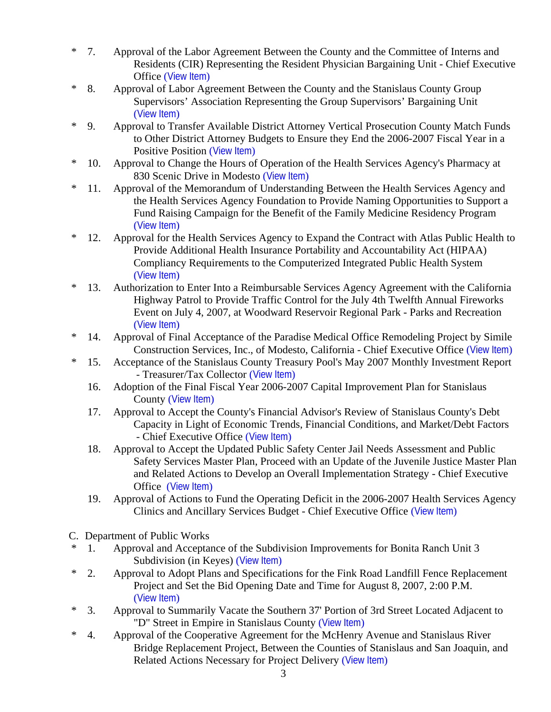- \* 7. Approval of the Labor Agreement Between the County and the Committee of Interns and Residents (CIR) Representing the Resident Physician Bargaining Unit - Chief Executive Office ([View Item](http://www.co.stanislaus.ca.us/bos/agenda/2007/20070626/B07.pdf))
- \* 8. Approval of Labor Agreement Between the County and the Stanislaus County Group Supervisors' Association Representing the Group Supervisors' Bargaining Unit ([View Item](http://www.co.stanislaus.ca.us/bos/agenda/2007/20070626/B08.pdf))
- \* 9. Approval to Transfer Available District Attorney Vertical Prosecution County Match Funds to Other District Attorney Budgets to Ensure they End the 2006-2007 Fiscal Year in a Positive Position ([View Item](http://www.co.stanislaus.ca.us/bos/agenda/2007/20070626/B09.pdf))
- \* 10. Approval to Change the Hours of Operation of the Health Services Agency's Pharmacy at 830 Scenic Drive in Modesto ([View Item](http://www.co.stanislaus.ca.us/bos/agenda/2007/20070626/B10.pdf))
- \* 11. Approval of the Memorandum of Understanding Between the Health Services Agency and the Health Services Agency Foundation to Provide Naming Opportunities to Support a Fund Raising Campaign for the Benefit of the Family Medicine Residency Program ([View Item](http://www.co.stanislaus.ca.us/bos/agenda/2007/20070626/B11.pdf))
- \* 12. Approval for the Health Services Agency to Expand the Contract with Atlas Public Health to Provide Additional Health Insurance Portability and Accountability Act (HIPAA) Compliancy Requirements to the Computerized Integrated Public Health System ([View Item](http://www.co.stanislaus.ca.us/bos/agenda/2007/20070626/B12.pdf))
- \* 13. Authorization to Enter Into a Reimbursable Services Agency Agreement with the California Highway Patrol to Provide Traffic Control for the July 4th Twelfth Annual Fireworks Event on July 4, 2007, at Woodward Reservoir Regional Park - Parks and Recreation ([View Item](http://www.co.stanislaus.ca.us/bos/agenda/2007/20070626/B13.pdf))
- \* 14. Approval of Final Acceptance of the Paradise Medical Office Remodeling Project by Simile Construction Services, Inc., of Modesto, California - Chief Executive Office ([View Item](http://www.co.stanislaus.ca.us/bos/agenda/2007/20070626/B14.pdf))
- \* 15. Acceptance of the Stanislaus County Treasury Pool's May 2007 Monthly Investment Report - Treasurer/Tax Collector ([View Item](http://www.co.stanislaus.ca.us/bos/agenda/2007/20070626/B15.pdf))
	- 16. Adoption of the Final Fiscal Year 2006-2007 Capital Improvement Plan for Stanislaus County ([View Item](http://www.co.stanislaus.ca.us/bos/agenda/2007/20070626/B16.pdf))
	- 17. Approval to Accept the County's Financial Advisor's Review of Stanislaus County's Debt Capacity in Light of Economic Trends, Financial Conditions, and Market/Debt Factors - Chief Executive Office ([View Item](http://www.co.stanislaus.ca.us/bos/agenda/2007/20070626/B17.pdf))
	- 18. Approval to Accept the Updated Public Safety Center Jail Needs Assessment and Public Safety Services Master Plan, Proceed with an Update of the Juvenile Justice Master Plan and Related Actions to Develop an Overall Implementation Strategy - Chief Executive Office ([View Item](http://www.co.stanislaus.ca.us/bos/agenda/2007/20070626/B18.pdf))
	- 19. Approval of Actions to Fund the Operating Deficit in the 2006-2007 Health Services Agency Clinics and Ancillary Services Budget - Chief Executive Office ([View Item](http://www.co.stanislaus.ca.us/bos/agenda/2007/20070626/B19.pdf))
- C. Department of Public Works
- \* 1. Approval and Acceptance of the Subdivision Improvements for Bonita Ranch Unit 3 Subdivision (in Keyes) ([View Item](http://www.co.stanislaus.ca.us/bos/agenda/2007/20070626/C01.pdf))
- \* 2. Approval to Adopt Plans and Specifications for the Fink Road Landfill Fence Replacement Project and Set the Bid Opening Date and Time for August 8, 2007, 2:00 P.M. ([View Item](http://www.co.stanislaus.ca.us/bos/agenda/2007/20070626/C02.pdf))
- \* 3. Approval to Summarily Vacate the Southern 37' Portion of 3rd Street Located Adjacent to "D" Street in Empire in Stanislaus County ([View Item](http://www.co.stanislaus.ca.us/bos/agenda/2007/20070626/C03.pdf))
- \* 4. Approval of the Cooperative Agreement for the McHenry Avenue and Stanislaus River Bridge Replacement Project, Between the Counties of Stanislaus and San Joaquin, and Related Actions Necessary for Project Delivery ([View Item](http://www.co.stanislaus.ca.us/bos/agenda/2007/20070626/C04.pdf))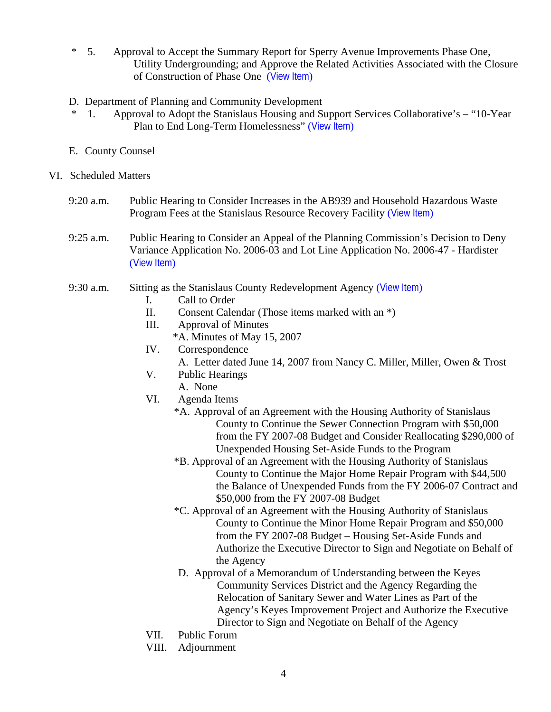- \* 5. Approval to Accept the Summary Report for Sperry Avenue Improvements Phase One, Utility Undergrounding; and Approve the Related Activities Associated with the Closure of Construction of Phase One ([View Item](http://www.co.stanislaus.ca.us/bos/agenda/2007/20070626/C05.pdf))
- D. Department of Planning and Community Development
	- 1. Approval to Adopt the Stanislaus Housing and Support Services Collaborative's "10-Year" Plan to End Long-Term Homelessness" ([View Item](http://www.co.stanislaus.ca.us/bos/agenda/2007/20070626/D01.pdf))
- E. County Counsel
- VI. Scheduled Matters
	- 9:20 a.m. Public Hearing to Consider Increases in the AB939 and Household Hazardous Waste Program Fees at the Stanislaus Resource Recovery Facility ([View Item](http://www.co.stanislaus.ca.us/bos/agenda/2007/20070626/PH920.pdf))
	- 9:25 a.m. Public Hearing to Consider an Appeal of the Planning Commission's Decision to Deny Variance Application No. 2006-03 and Lot Line Application No. 2006-47 - Hardister ([View Item](http://www.co.stanislaus.ca.us/bos/agenda/2007/20070626/PH925.pdf))

## 9:30 a.m. Sitting as the Stanislaus County Redevelopment Agency ([View Item](http://www.co.stanislaus.ca.us/bos/agenda/2007/20070626/PH930.pdf))

- I. Call to Order
- II. Consent Calendar (Those items marked with an \*)
- III. Approval of Minutes
	- \*A. Minutes of May 15, 2007
- IV. Correspondence
	- A. Letter dated June 14, 2007 from Nancy C. Miller, Miller, Owen & Trost
- V. Public Hearings
	- A. None
- VI. Agenda Items
	- \*A. Approval of an Agreement with the Housing Authority of Stanislaus County to Continue the Sewer Connection Program with \$50,000 from the FY 2007-08 Budget and Consider Reallocating \$290,000 of Unexpended Housing Set-Aside Funds to the Program
	- \*B. Approval of an Agreement with the Housing Authority of Stanislaus County to Continue the Major Home Repair Program with \$44,500 the Balance of Unexpended Funds from the FY 2006-07 Contract and \$50,000 from the FY 2007-08 Budget
	- \*C. Approval of an Agreement with the Housing Authority of Stanislaus County to Continue the Minor Home Repair Program and \$50,000 from the FY 2007-08 Budget – Housing Set-Aside Funds and Authorize the Executive Director to Sign and Negotiate on Behalf of the Agency
	- D. Approval of a Memorandum of Understanding between the Keyes Community Services District and the Agency Regarding the Relocation of Sanitary Sewer and Water Lines as Part of the Agency's Keyes Improvement Project and Authorize the Executive Director to Sign and Negotiate on Behalf of the Agency
- VII. Public Forum
- VIII. Adjournment